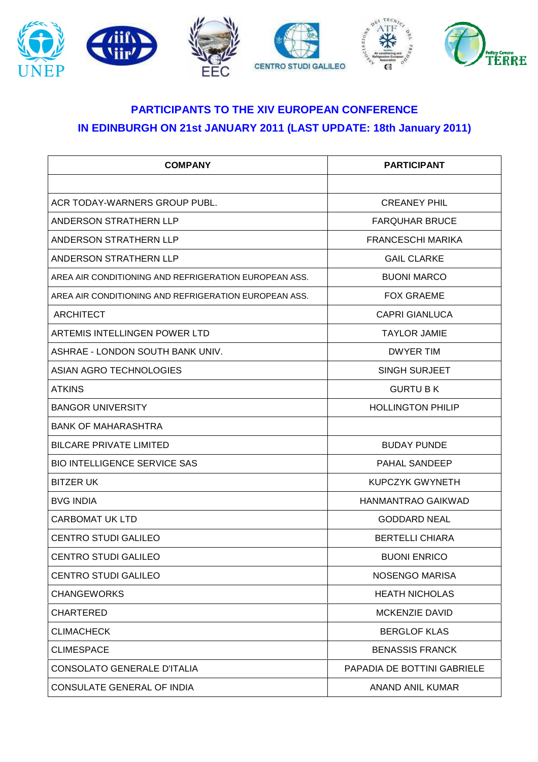

## **PARTICIPANTS TO THE XIV EUROPEAN CONFERENCE IN EDINBURGH ON 21st JANUARY 2011 (LAST UPDATE: 18th January 2011)**

| <b>COMPANY</b>                                        | <b>PARTICIPANT</b>          |
|-------------------------------------------------------|-----------------------------|
|                                                       |                             |
| ACR TODAY-WARNERS GROUP PUBL.                         | <b>CREANEY PHIL</b>         |
| ANDERSON STRATHERN LLP                                | <b>FARQUHAR BRUCE</b>       |
| ANDERSON STRATHERN LLP                                | <b>FRANCESCHI MARIKA</b>    |
| ANDERSON STRATHERN LLP                                | <b>GAIL CLARKE</b>          |
| AREA AIR CONDITIONING AND REFRIGERATION EUROPEAN ASS. | <b>BUONI MARCO</b>          |
| AREA AIR CONDITIONING AND REFRIGERATION EUROPEAN ASS. | <b>FOX GRAEME</b>           |
| <b>ARCHITECT</b>                                      | <b>CAPRI GIANLUCA</b>       |
| ARTEMIS INTELLINGEN POWER LTD                         | <b>TAYLOR JAMIE</b>         |
| ASHRAE - LONDON SOUTH BANK UNIV.                      | <b>DWYER TIM</b>            |
| ASIAN AGRO TECHNOLOGIES                               | <b>SINGH SURJEET</b>        |
| <b>ATKINS</b>                                         | <b>GURTU B K</b>            |
| <b>BANGOR UNIVERSITY</b>                              | <b>HOLLINGTON PHILIP</b>    |
| <b>BANK OF MAHARASHTRA</b>                            |                             |
| <b>BILCARE PRIVATE LIMITED</b>                        | <b>BUDAY PUNDE</b>          |
| <b>BIO INTELLIGENCE SERVICE SAS</b>                   | <b>PAHAL SANDEEP</b>        |
| <b>BITZER UK</b>                                      | KUPCZYK GWYNETH             |
| <b>BVG INDIA</b>                                      | HANMANTRAO GAIKWAD          |
| <b>CARBOMAT UK LTD</b>                                | <b>GODDARD NEAL</b>         |
| <b>CENTRO STUDI GALILEO</b>                           | <b>BERTELLI CHIARA</b>      |
| <b>CENTRO STUDI GALILEO</b>                           | <b>BUONI ENRICO</b>         |
| CENTRO STUDI GALILEO                                  | NOSENGO MARISA              |
| <b>CHANGEWORKS</b>                                    | <b>HEATH NICHOLAS</b>       |
| <b>CHARTERED</b>                                      | <b>MCKENZIE DAVID</b>       |
| <b>CLIMACHECK</b>                                     | <b>BERGLOF KLAS</b>         |
| <b>CLIMESPACE</b>                                     | <b>BENASSIS FRANCK</b>      |
| CONSOLATO GENERALE D'ITALIA                           | PAPADIA DE BOTTINI GABRIELE |
| CONSULATE GENERAL OF INDIA                            | ANAND ANIL KUMAR            |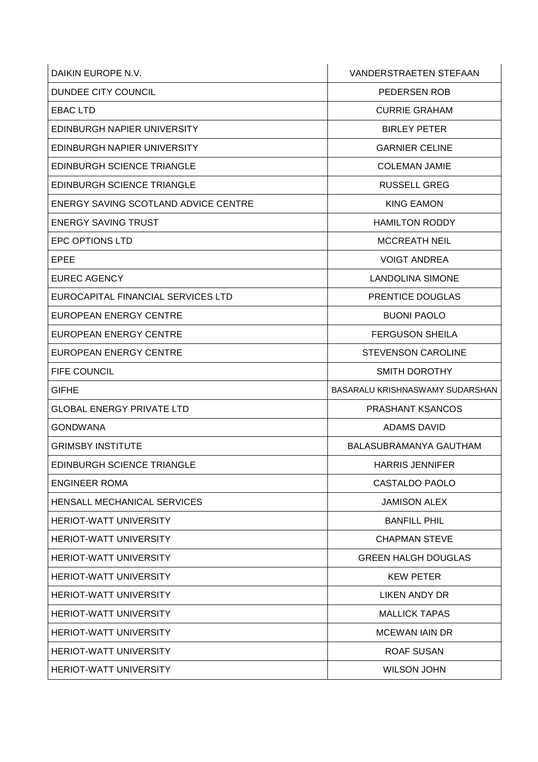| DAIKIN EUROPE N.V.                   | <b>VANDERSTRAETEN STEFAAN</b>   |
|--------------------------------------|---------------------------------|
| DUNDEE CITY COUNCIL                  | PEDERSEN ROB                    |
| <b>EBAC LTD</b>                      | <b>CURRIE GRAHAM</b>            |
| EDINBURGH NAPIER UNIVERSITY          | <b>BIRLEY PETER</b>             |
| EDINBURGH NAPIER UNIVERSITY          | <b>GARNIER CELINE</b>           |
| <b>EDINBURGH SCIENCE TRIANGLE</b>    | <b>COLEMAN JAMIE</b>            |
| <b>EDINBURGH SCIENCE TRIANGLE</b>    | <b>RUSSELL GREG</b>             |
| ENERGY SAVING SCOTLAND ADVICE CENTRE | <b>KING EAMON</b>               |
| <b>ENERGY SAVING TRUST</b>           | <b>HAMILTON RODDY</b>           |
| <b>EPC OPTIONS LTD</b>               | <b>MCCREATH NEIL</b>            |
| EPEE                                 | <b>VOIGT ANDREA</b>             |
| <b>EUREC AGENCY</b>                  | <b>LANDOLINA SIMONE</b>         |
| EUROCAPITAL FINANCIAL SERVICES LTD   | PRENTICE DOUGLAS                |
| <b>EUROPEAN ENERGY CENTRE</b>        | <b>BUONI PAOLO</b>              |
| <b>EUROPEAN ENERGY CENTRE</b>        | <b>FERGUSON SHEILA</b>          |
| <b>EUROPEAN ENERGY CENTRE</b>        | <b>STEVENSON CAROLINE</b>       |
| <b>FIFE COUNCIL</b>                  | <b>SMITH DOROTHY</b>            |
| GIFHE                                | BASARALU KRISHNASWAMY SUDARSHAN |
| <b>GLOBAL ENERGY PRIVATE LTD</b>     | <b>PRASHANT KSANCOS</b>         |
| <b>GONDWANA</b>                      | <b>ADAMS DAVID</b>              |
| <b>GRIMSBY INSTITUTE</b>             | BALASUBRAMANYA GAUTHAM          |
| <b>EDINBURGH SCIENCE TRIANGLE</b>    | <b>HARRIS JENNIFER</b>          |
| <b>ENGINEER ROMA</b>                 | CASTALDO PAOLO                  |
| <b>HENSALL MECHANICAL SERVICES</b>   | <b>JAMISON ALEX</b>             |
| <b>HERIOT-WATT UNIVERSITY</b>        | <b>BANFILL PHIL</b>             |
| <b>HERIOT-WATT UNIVERSITY</b>        | <b>CHAPMAN STEVE</b>            |
| <b>HERIOT-WATT UNIVERSITY</b>        | <b>GREEN HALGH DOUGLAS</b>      |
| <b>HERIOT-WATT UNIVERSITY</b>        | <b>KEW PETER</b>                |
| <b>HERIOT-WATT UNIVERSITY</b>        | LIKEN ANDY DR                   |
| <b>HERIOT-WATT UNIVERSITY</b>        | <b>MALLICK TAPAS</b>            |
| <b>HERIOT-WATT UNIVERSITY</b>        | <b>MCEWAN IAIN DR</b>           |
| <b>HERIOT-WATT UNIVERSITY</b>        | <b>ROAF SUSAN</b>               |
| <b>HERIOT-WATT UNIVERSITY</b>        | <b>WILSON JOHN</b>              |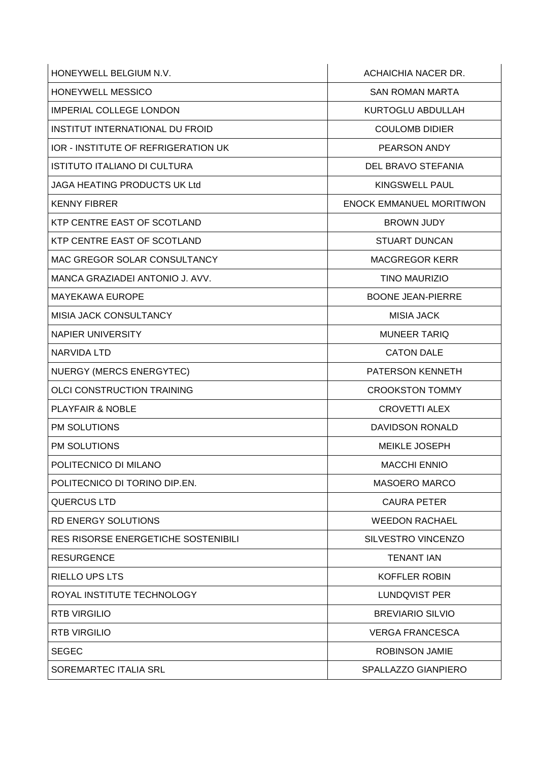| HONEYWELL BELGIUM N.V.                     | ACHAICHIA NACER DR.             |
|--------------------------------------------|---------------------------------|
| HONEYWELL MESSICO                          | <b>SAN ROMAN MARTA</b>          |
| <b>IMPERIAL COLLEGE LONDON</b>             | KURTOGLU ABDULLAH               |
| INSTITUT INTERNATIONAL DU FROID            | <b>COULOMB DIDIER</b>           |
| IOR - INSTITUTE OF REFRIGERATION UK        | PEARSON ANDY                    |
| <b>ISTITUTO ITALIANO DI CULTURA</b>        | <b>DEL BRAVO STEFANIA</b>       |
| JAGA HEATING PRODUCTS UK Ltd               | <b>KINGSWELL PAUL</b>           |
| <b>KENNY FIBRER</b>                        | <b>ENOCK EMMANUEL MORITIWON</b> |
| KTP CENTRE EAST OF SCOTLAND                | <b>BROWN JUDY</b>               |
| KTP CENTRE EAST OF SCOTLAND                | <b>STUART DUNCAN</b>            |
| MAC GREGOR SOLAR CONSULTANCY               | <b>MACGREGOR KERR</b>           |
| MANCA GRAZIADEI ANTONIO J. AVV.            | <b>TINO MAURIZIO</b>            |
| <b>MAYEKAWA EUROPE</b>                     | <b>BOONE JEAN-PIERRE</b>        |
| MISIA JACK CONSULTANCY                     | <b>MISIA JACK</b>               |
| <b>NAPIER UNIVERSITY</b>                   | <b>MUNEER TARIQ</b>             |
| <b>NARVIDA LTD</b>                         | <b>CATON DALE</b>               |
| NUERGY (MERCS ENERGYTEC)                   | PATERSON KENNETH                |
| <b>OLCI CONSTRUCTION TRAINING</b>          | <b>CROOKSTON TOMMY</b>          |
| <b>PLAYFAIR &amp; NOBLE</b>                | <b>CROVETTI ALEX</b>            |
| PM SOLUTIONS                               | <b>DAVIDSON RONALD</b>          |
| PM SOLUTIONS                               | <b>MEIKLE JOSEPH</b>            |
| POLITECNICO DI MILANO                      | <b>MACCHI ENNIO</b>             |
| POLITECNICO DI TORINO DIP.EN.              | MASOERO MARCO                   |
| <b>QUERCUS LTD</b>                         | <b>CAURA PETER</b>              |
| RD ENERGY SOLUTIONS                        | <b>WEEDON RACHAEL</b>           |
| <b>RES RISORSE ENERGETICHE SOSTENIBILI</b> | <b>SILVESTRO VINCENZO</b>       |
| <b>RESURGENCE</b>                          | <b>TENANT IAN</b>               |
| RIELLO UPS LTS                             | <b>KOFFLER ROBIN</b>            |
| ROYAL INSTITUTE TECHNOLOGY                 | LUNDQVIST PER                   |
| <b>RTB VIRGILIO</b>                        | <b>BREVIARIO SILVIO</b>         |
| <b>RTB VIRGILIO</b>                        | <b>VERGA FRANCESCA</b>          |
| <b>SEGEC</b>                               | ROBINSON JAMIE                  |
| SOREMARTEC ITALIA SRL                      | SPALLAZZO GIANPIERO             |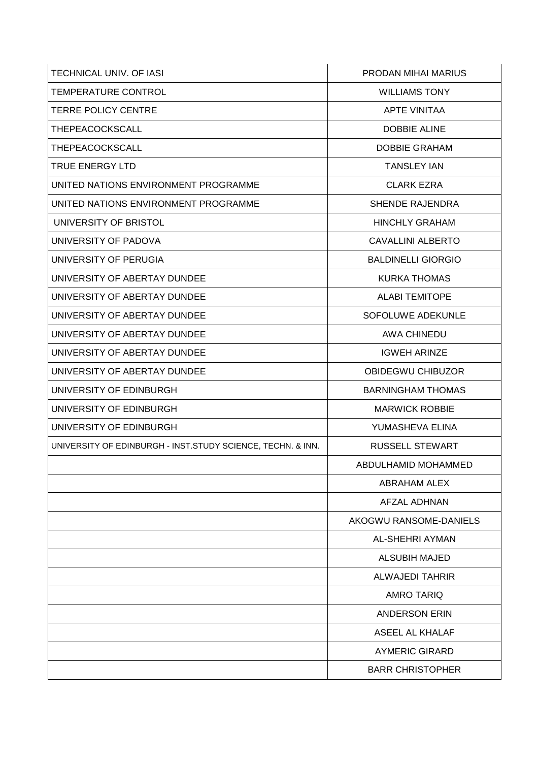| TECHNICAL UNIV. OF IASI                                     | PRODAN MIHAI MARIUS       |
|-------------------------------------------------------------|---------------------------|
| <b>TEMPERATURE CONTROL</b>                                  | <b>WILLIAMS TONY</b>      |
| <b>TERRE POLICY CENTRE</b>                                  | <b>APTE VINITAA</b>       |
| THEPEACOCKSCALL                                             | <b>DOBBIE ALINE</b>       |
| THEPEACOCKSCALL                                             | <b>DOBBIE GRAHAM</b>      |
| <b>TRUE ENERGY LTD</b>                                      | <b>TANSLEY IAN</b>        |
| UNITED NATIONS ENVIRONMENT PROGRAMME                        | <b>CLARK EZRA</b>         |
| UNITED NATIONS ENVIRONMENT PROGRAMME                        | <b>SHENDE RAJENDRA</b>    |
| UNIVERSITY OF BRISTOL                                       | <b>HINCHLY GRAHAM</b>     |
| UNIVERSITY OF PADOVA                                        | CAVALLINI ALBERTO         |
| UNIVERSITY OF PERUGIA                                       | <b>BALDINELLI GIORGIO</b> |
| UNIVERSITY OF ABERTAY DUNDEE                                | <b>KURKA THOMAS</b>       |
| UNIVERSITY OF ABERTAY DUNDEE                                | <b>ALABI TEMITOPE</b>     |
| UNIVERSITY OF ABERTAY DUNDEE                                | SOFOLUWE ADEKUNLE         |
| UNIVERSITY OF ABERTAY DUNDEE                                | <b>AWA CHINEDU</b>        |
| UNIVERSITY OF ABERTAY DUNDEE                                | <b>IGWEH ARINZE</b>       |
| UNIVERSITY OF ABERTAY DUNDEE                                | OBIDEGWU CHIBUZOR         |
| UNIVERSITY OF EDINBURGH                                     | <b>BARNINGHAM THOMAS</b>  |
| UNIVERSITY OF EDINBURGH                                     | <b>MARWICK ROBBIE</b>     |
| UNIVERSITY OF EDINBURGH                                     | YUMASHEVA ELINA           |
| UNIVERSITY OF EDINBURGH - INST.STUDY SCIENCE, TECHN. & INN. | <b>RUSSELL STEWART</b>    |
|                                                             | ABDULHAMID MOHAMMED       |
|                                                             | <b>ABRAHAM ALEX</b>       |
|                                                             | <b>AFZAL ADHNAN</b>       |
|                                                             | AKOGWU RANSOME-DANIELS    |
|                                                             | AL-SHEHRI AYMAN           |
|                                                             | <b>ALSUBIH MAJED</b>      |
|                                                             | <b>ALWAJEDI TAHRIR</b>    |
|                                                             | <b>AMRO TARIQ</b>         |
|                                                             | <b>ANDERSON ERIN</b>      |
|                                                             | ASEEL AL KHALAF           |
|                                                             | <b>AYMERIC GIRARD</b>     |
|                                                             | <b>BARR CHRISTOPHER</b>   |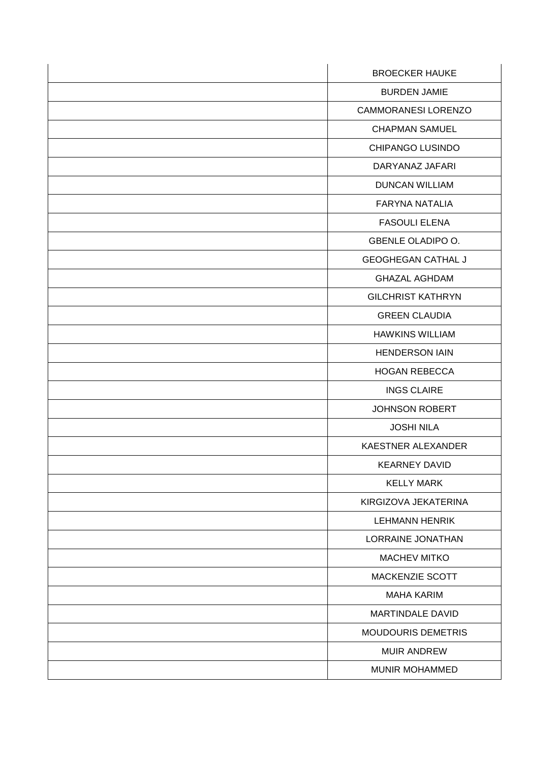| <b>BROECKER HAUKE</b>      |
|----------------------------|
| <b>BURDEN JAMIE</b>        |
| <b>CAMMORANESI LORENZO</b> |
| <b>CHAPMAN SAMUEL</b>      |
| <b>CHIPANGO LUSINDO</b>    |
| DARYANAZ JAFARI            |
| <b>DUNCAN WILLIAM</b>      |
| <b>FARYNA NATALIA</b>      |
| <b>FASOULI ELENA</b>       |
| <b>GBENLE OLADIPO O.</b>   |
| <b>GEOGHEGAN CATHAL J</b>  |
| <b>GHAZAL AGHDAM</b>       |
| <b>GILCHRIST KATHRYN</b>   |
| <b>GREEN CLAUDIA</b>       |
| <b>HAWKINS WILLIAM</b>     |
| <b>HENDERSON IAIN</b>      |
| <b>HOGAN REBECCA</b>       |
| <b>INGS CLAIRE</b>         |
| <b>JOHNSON ROBERT</b>      |
| <b>JOSHI NILA</b>          |
| KAESTNER ALEXANDER         |
| <b>KEARNEY DAVID</b>       |
| <b>KELLY MARK</b>          |
| KIRGIZOVA JEKATERINA       |
| <b>LEHMANN HENRIK</b>      |
| LORRAINE JONATHAN          |
| <b>MACHEV MITKO</b>        |
| MACKENZIE SCOTT            |
| <b>MAHA KARIM</b>          |
| MARTINDALE DAVID           |
| <b>MOUDOURIS DEMETRIS</b>  |
| <b>MUIR ANDREW</b>         |
| MUNIR MOHAMMED             |